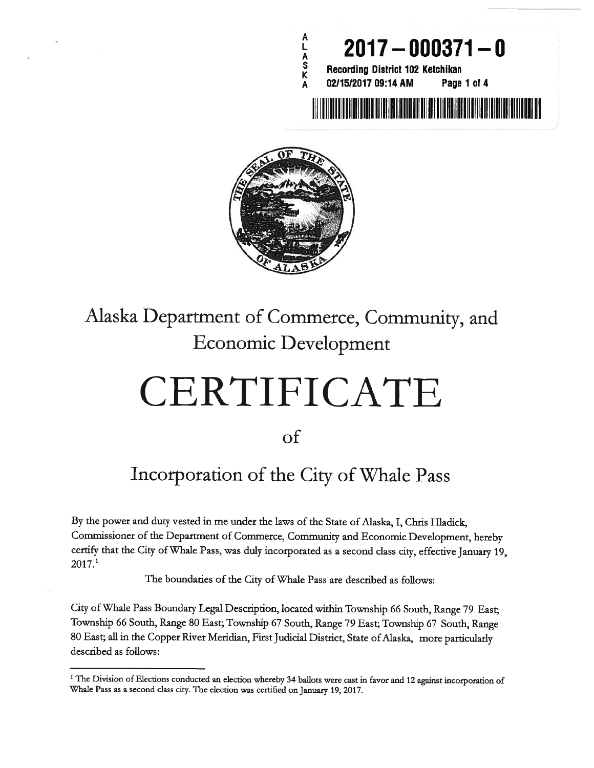



## Alaska Department of Commerce, Community, and Economic Development

## CERTIFICATE

of

## Incorporation of the City of Whale Pass

By the power and duty vested in me under the laws of the State of Alaska, I, Chris Hiadick, Commissioner of the Department of Commerce, Community and Economic Development, hereby certify that the City of Whale Pass, was duly incorporated as <sup>a</sup> second class city, effective January 19, 2017.1

The boundaries of the City of Whale Pass are described as follows:

City ofWhale Pass Boundary Legal Description, located within Township <sup>66</sup> South, Range <sup>79</sup> East; Township <sup>66</sup> South, Range <sup>80</sup> East; Township <sup>67</sup> South, Range <sup>79</sup> East; Township <sup>67</sup> South, Range 80 East; all in the Copper River Meridian, First Judicial District, State of Alaska, more particularly described as follows:

<sup>&</sup>lt;sup>1</sup> The Division of Elections conducted an election whereby 34 ballots were cast in favor and 12 against incorporation of Whale Pass as <sup>a</sup> second class city. The election was certified on January 19, 2017.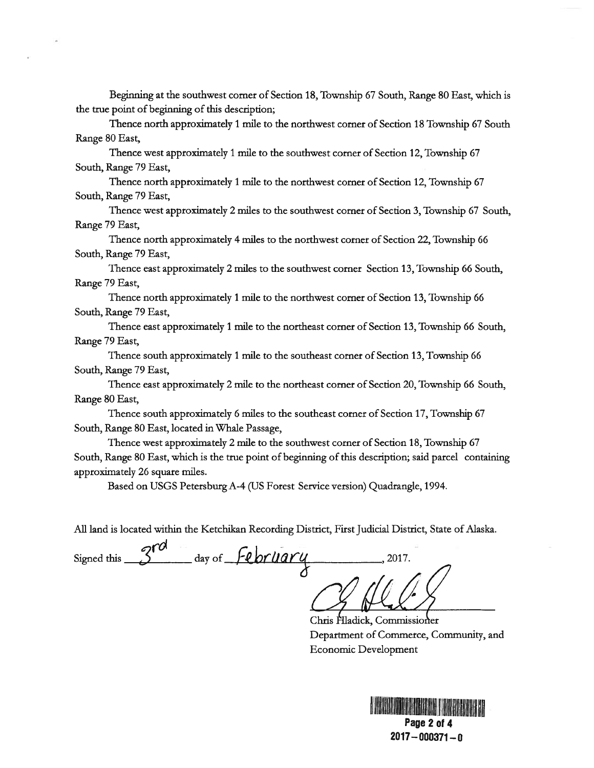Beginning at the southwest corner of Section 18, Township 67 South, Range 80 East, which is the true point of beginning of this description;

Thence north approximately 1 mile to the northwest corner of Section 18 Township 67 South Range 80 East,

Thence west approximately 1 mile to the southwest corner of Section 12, Township 67 South, Range 79 East,

Thence north approximately I mile to the northwest corner of Section 12, Township 67 South, Range 79 East,

Thence west approximately 2 miles to the southwest corner of Section 3, Township 67 South, Range 79 East,

Thence north approximately 4 miles to the northwest corner of Section 22, Township 66 South, Range 79 East,

Thence east approximately 2 miles to the southwest corner Section 13, Township 66 South, Range 79 East,

Thence north approximately I mile to the northwest corner of Section 13, Township 66 South, Range 79 East,

Thence east approximately 1 mile to the northeast corner of Section 13, Township 66 South, Range 79 East,

Thence south approximately 1 mile to the southeast corner of Section 13, Township 66 South, Range 79 East,

Thence east approximately 2 mile to the northeast corner of Section 20, Township 66 South, Range 80 East,

Thence south approximately 6 miles to the southeast corner of Section 17, Township 67 South, Range 80 East, located in Whale Passage,

Thence west approximately 2 mile to the southwest corner of Section 18, Township 67 South, Range 80 East, which is the true point of beginning of this description; said parcel containing approximately 26 square miles.

Based on USGS Petersburg A-4 (US Forest Service version) Quadrangle, 1994.

All land is located within the Ketchikan Recording District, First Judicial District, State of Alaska.

Signed this  $3^{rd}$  day of February 2017.

Chris Hladick, Commissioner Department of Commerce, Community, and Economic Development

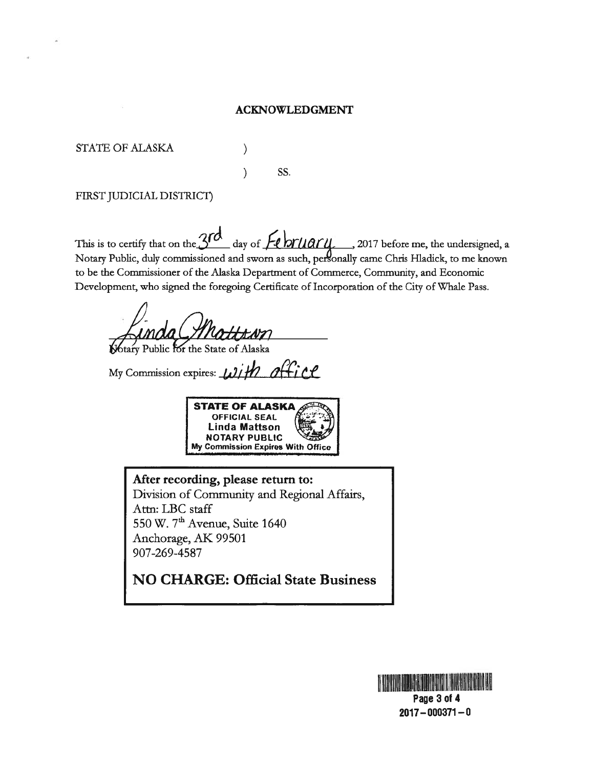## ACKNOWLEDGMENT

STATE OF ALASKA (1)

) SS.

FIRST JUDICIAL DISTRICT)

This is to certify that on the  $3rd$  day of  $Fehrliarq$ , 2017 before me, the undersigned, a Notary Public, duly commissioned and sworn as such, personally came Chris Hladick, to me known to be the Commissioner of the Alaska Department of Commerce, Community, and Economic Development, who signed the foregoing Certificate of Incorporation of the City of Whale Pass.

btary Public for the State of Alaska

My Commission expires:  $\omega$ *ith office* 



After recording, please return to: Division of Community and Regional Affairs, Atm: LBC staff 550 W. 7<sup>th</sup> Avenue, Suite 1640 Anchorage, AK 99501 907-269-4587

NO CHARGE: Official State Business



2017—000371—0